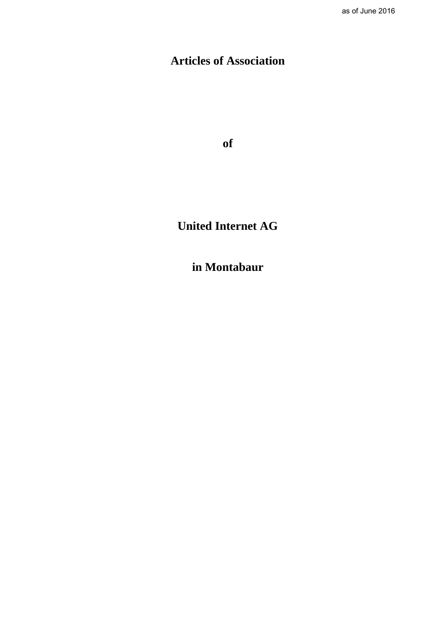# **Articles of Association**

**of**

# **United Internet AG**

**in Montabaur**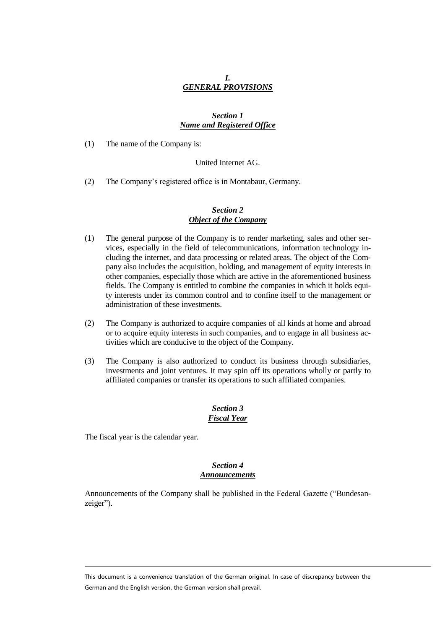# *I. GENERAL PROVISIONS*

# *Section 1 Name and Registered Office*

(1) The name of the Company is:

#### United Internet AG.

(2) The Company's registered office is in Montabaur, Germany.

## *Section 2 Object of the Company*

- (1) The general purpose of the Company is to render marketing, sales and other services, especially in the field of telecommunications, information technology including the internet, and data processing or related areas. The object of the Company also includes the acquisition, holding, and management of equity interests in other companies, especially those which are active in the aforementioned business fields. The Company is entitled to combine the companies in which it holds equity interests under its common control and to confine itself to the management or administration of these investments.
- (2) The Company is authorized to acquire companies of all kinds at home and abroad or to acquire equity interests in such companies, and to engage in all business activities which are conducive to the object of the Company.
- (3) The Company is also authorized to conduct its business through subsidiaries, investments and joint ventures. It may spin off its operations wholly or partly to affiliated companies or transfer its operations to such affiliated companies.

# *Section 3 Fiscal Year*

The fiscal year is the calendar year.

## *Section 4 Announcements*

Announcements of the Company shall be published in the Federal Gazette ("Bundesanzeiger").

This document is a convenience translation of the German original. In case of discrepancy between the German and the English version, the German version shall prevail.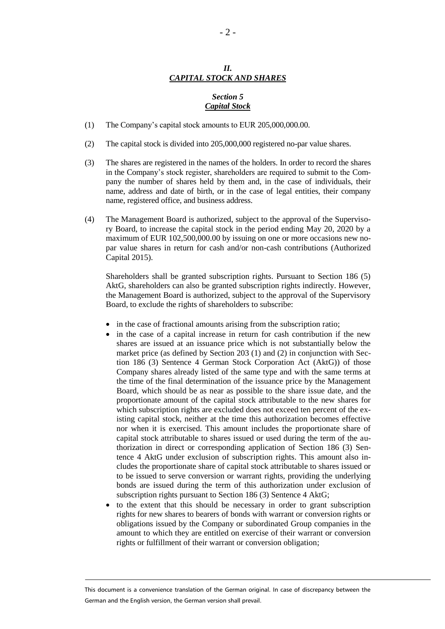# *II. CAPITAL STOCK AND SHARES*

## *Section 5 Capital Stock*

- (1) The Company's capital stock amounts to EUR 205,000,000.00.
- (2) The capital stock is divided into 205,000,000 registered no-par value shares.
- (3) The shares are registered in the names of the holders. In order to record the shares in the Company's stock register, shareholders are required to submit to the Company the number of shares held by them and, in the case of individuals, their name, address and date of birth, or in the case of legal entities, their company name, registered office, and business address.
- (4) The Management Board is authorized, subject to the approval of the Supervisory Board, to increase the capital stock in the period ending May 20, 2020 by a maximum of EUR 102,500,000.00 by issuing on one or more occasions new nopar value shares in return for cash and/or non-cash contributions (Authorized Capital 2015).

Shareholders shall be granted subscription rights. Pursuant to Section 186 (5) AktG, shareholders can also be granted subscription rights indirectly. However, the Management Board is authorized, subject to the approval of the Supervisory Board, to exclude the rights of shareholders to subscribe:

- in the case of fractional amounts arising from the subscription ratio;
- in the case of a capital increase in return for cash contribution if the new shares are issued at an issuance price which is not substantially below the market price (as defined by Section 203 (1) and (2) in conjunction with Section 186 (3) Sentence 4 German Stock Corporation Act (AktG)) of those Company shares already listed of the same type and with the same terms at the time of the final determination of the issuance price by the Management Board, which should be as near as possible to the share issue date, and the proportionate amount of the capital stock attributable to the new shares for which subscription rights are excluded does not exceed ten percent of the existing capital stock, neither at the time this authorization becomes effective nor when it is exercised. This amount includes the proportionate share of capital stock attributable to shares issued or used during the term of the authorization in direct or corresponding application of Section 186 (3) Sentence 4 AktG under exclusion of subscription rights. This amount also includes the proportionate share of capital stock attributable to shares issued or to be issued to serve conversion or warrant rights, providing the underlying bonds are issued during the term of this authorization under exclusion of subscription rights pursuant to Section 186 (3) Sentence 4 AktG;
- to the extent that this should be necessary in order to grant subscription rights for new shares to bearers of bonds with warrant or conversion rights or obligations issued by the Company or subordinated Group companies in the amount to which they are entitled on exercise of their warrant or conversion rights or fulfillment of their warrant or conversion obligation;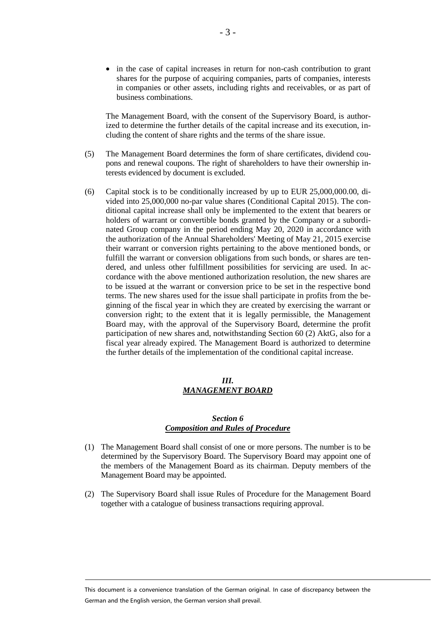• in the case of capital increases in return for non-cash contribution to grant shares for the purpose of acquiring companies, parts of companies, interests in companies or other assets, including rights and receivables, or as part of business combinations.

The Management Board, with the consent of the Supervisory Board, is authorized to determine the further details of the capital increase and its execution, including the content of share rights and the terms of the share issue.

- (5) The Management Board determines the form of share certificates, dividend coupons and renewal coupons. The right of shareholders to have their ownership interests evidenced by document is excluded.
- (6) Capital stock is to be conditionally increased by up to EUR 25,000,000.00, divided into 25,000,000 no-par value shares (Conditional Capital 2015). The conditional capital increase shall only be implemented to the extent that bearers or holders of warrant or convertible bonds granted by the Company or a subordinated Group company in the period ending May 20, 2020 in accordance with the authorization of the Annual Shareholders' Meeting of May 21, 2015 exercise their warrant or conversion rights pertaining to the above mentioned bonds, or fulfill the warrant or conversion obligations from such bonds, or shares are tendered, and unless other fulfillment possibilities for servicing are used. In accordance with the above mentioned authorization resolution, the new shares are to be issued at the warrant or conversion price to be set in the respective bond terms. The new shares used for the issue shall participate in profits from the beginning of the fiscal year in which they are created by exercising the warrant or conversion right; to the extent that it is legally permissible, the Management Board may, with the approval of the Supervisory Board, determine the profit participation of new shares and, notwithstanding Section 60 (2) AktG, also for a fiscal year already expired. The Management Board is authorized to determine the further details of the implementation of the conditional capital increase.

## *III. MANAGEMENT BOARD*

# *Section 6 Composition and Rules of Procedure*

- (1) The Management Board shall consist of one or more persons. The number is to be determined by the Supervisory Board. The Supervisory Board may appoint one of the members of the Management Board as its chairman. Deputy members of the Management Board may be appointed.
- (2) The Supervisory Board shall issue Rules of Procedure for the Management Board together with a catalogue of business transactions requiring approval.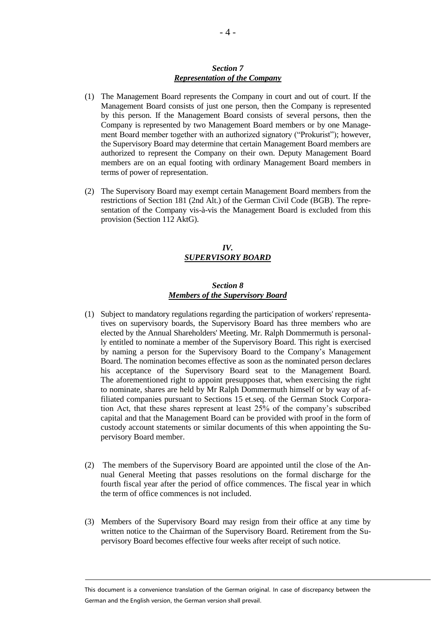#### *Section 7 Representation of the Company*

- (1) The Management Board represents the Company in court and out of court. If the Management Board consists of just one person, then the Company is represented by this person. If the Management Board consists of several persons, then the Company is represented by two Management Board members or by one Management Board member together with an authorized signatory ("Prokurist"); however, the Supervisory Board may determine that certain Management Board members are authorized to represent the Company on their own. Deputy Management Board members are on an equal footing with ordinary Management Board members in terms of power of representation.
- (2) The Supervisory Board may exempt certain Management Board members from the restrictions of Section 181 (2nd Alt.) of the German Civil Code (BGB). The representation of the Company vis-à-vis the Management Board is excluded from this provision (Section 112 AktG).

## *IV. SUPERVISORY BOARD*

## *Section 8 Members of the Supervisory Board*

- (1) Subject to mandatory regulations regarding the participation of workers' representatives on supervisory boards, the Supervisory Board has three members who are elected by the Annual Shareholders' Meeting. Mr. Ralph Dommermuth is personally entitled to nominate a member of the Supervisory Board. This right is exercised by naming a person for the Supervisory Board to the Company's Management Board. The nomination becomes effective as soon as the nominated person declares his acceptance of the Supervisory Board seat to the Management Board. The aforementioned right to appoint presupposes that, when exercising the right to nominate, shares are held by Mr Ralph Dommermuth himself or by way of affiliated companies pursuant to Sections 15 et.seq. of the German Stock Corporation Act, that these shares represent at least 25% of the company's subscribed capital and that the Management Board can be provided with proof in the form of custody account statements or similar documents of this when appointing the Supervisory Board member.
- (2) The members of the Supervisory Board are appointed until the close of the Annual General Meeting that passes resolutions on the formal discharge for the fourth fiscal year after the period of office commences. The fiscal year in which the term of office commences is not included.
- (3) Members of the Supervisory Board may resign from their office at any time by written notice to the Chairman of the Supervisory Board. Retirement from the Supervisory Board becomes effective four weeks after receipt of such notice.

This document is a convenience translation of the German original. In case of discrepancy between the German and the English version, the German version shall prevail.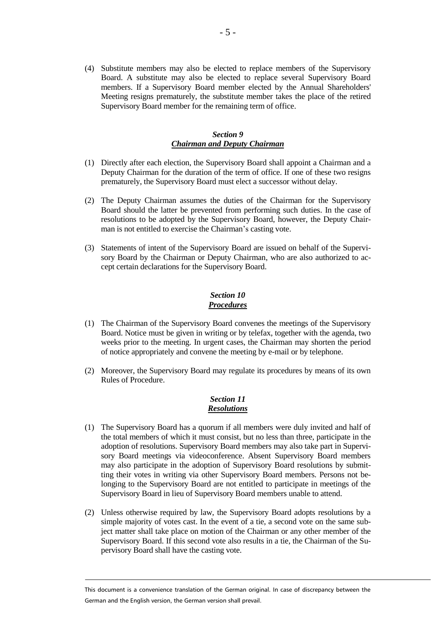(4) Substitute members may also be elected to replace members of the Supervisory Board. A substitute may also be elected to replace several Supervisory Board members. If a Supervisory Board member elected by the Annual Shareholders' Meeting resigns prematurely, the substitute member takes the place of the retired Supervisory Board member for the remaining term of office.

## *Section 9 Chairman and Deputy Chairman*

- (1) Directly after each election, the Supervisory Board shall appoint a Chairman and a Deputy Chairman for the duration of the term of office. If one of these two resigns prematurely, the Supervisory Board must elect a successor without delay.
- (2) The Deputy Chairman assumes the duties of the Chairman for the Supervisory Board should the latter be prevented from performing such duties. In the case of resolutions to be adopted by the Supervisory Board, however, the Deputy Chairman is not entitled to exercise the Chairman's casting vote.
- (3) Statements of intent of the Supervisory Board are issued on behalf of the Supervisory Board by the Chairman or Deputy Chairman, who are also authorized to accept certain declarations for the Supervisory Board.

## *Section 10 Procedures*

- (1) The Chairman of the Supervisory Board convenes the meetings of the Supervisory Board. Notice must be given in writing or by telefax, together with the agenda, two weeks prior to the meeting. In urgent cases, the Chairman may shorten the period of notice appropriately and convene the meeting by e-mail or by telephone.
- (2) Moreover, the Supervisory Board may regulate its procedures by means of its own Rules of Procedure.

# *Section 11 Resolutions*

- (1) The Supervisory Board has a quorum if all members were duly invited and half of the total members of which it must consist, but no less than three, participate in the adoption of resolutions. Supervisory Board members may also take part in Supervisory Board meetings via videoconference. Absent Supervisory Board members may also participate in the adoption of Supervisory Board resolutions by submitting their votes in writing via other Supervisory Board members. Persons not belonging to the Supervisory Board are not entitled to participate in meetings of the Supervisory Board in lieu of Supervisory Board members unable to attend.
- (2) Unless otherwise required by law, the Supervisory Board adopts resolutions by a simple majority of votes cast. In the event of a tie, a second vote on the same subject matter shall take place on motion of the Chairman or any other member of the Supervisory Board. If this second vote also results in a tie, the Chairman of the Supervisory Board shall have the casting vote.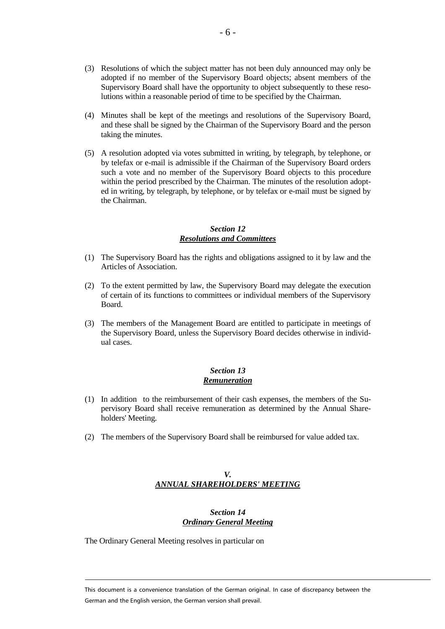- (3) Resolutions of which the subject matter has not been duly announced may only be adopted if no member of the Supervisory Board objects; absent members of the Supervisory Board shall have the opportunity to object subsequently to these resolutions within a reasonable period of time to be specified by the Chairman.
- (4) Minutes shall be kept of the meetings and resolutions of the Supervisory Board, and these shall be signed by the Chairman of the Supervisory Board and the person taking the minutes.
- (5) A resolution adopted via votes submitted in writing, by telegraph, by telephone, or by telefax or e-mail is admissible if the Chairman of the Supervisory Board orders such a vote and no member of the Supervisory Board objects to this procedure within the period prescribed by the Chairman. The minutes of the resolution adopted in writing, by telegraph, by telephone, or by telefax or e-mail must be signed by the Chairman.

# *Section 12 Resolutions and Committees*

- (1) The Supervisory Board has the rights and obligations assigned to it by law and the Articles of Association.
- (2) To the extent permitted by law, the Supervisory Board may delegate the execution of certain of its functions to committees or individual members of the Supervisory Board.
- (3) The members of the Management Board are entitled to participate in meetings of the Supervisory Board, unless the Supervisory Board decides otherwise in individual cases.

# *Section 13 Remuneration*

- (1) In addition to the reimbursement of their cash expenses, the members of the Supervisory Board shall receive remuneration as determined by the Annual Shareholders' Meeting.
- (2) The members of the Supervisory Board shall be reimbursed for value added tax.

# *V. ANNUAL SHAREHOLDERS' MEETING*

# *Section 14 Ordinary General Meeting*

The Ordinary General Meeting resolves in particular on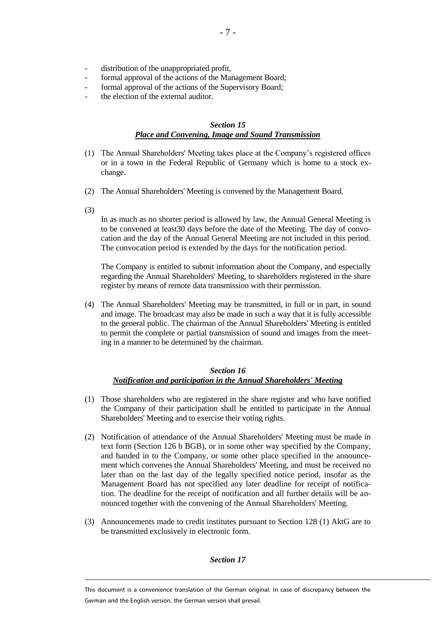- distribution of the unappropriated profit,
- formal approval of the actions of the Management Board;
- formal approval of the actions of the Supervisory Board;
- the election of the external auditor.

#### *Section 15 Place and Convening, Image and Sound Transmission*

- (1) The Annual Shareholders' Meeting takes place at the Company's registered offices or in a town in the Federal Republic of Germany which is home to a stock exchange.
- (2) The Annual Shareholders' Meeting is convened by the Management Board.
- (3)

In as much as no shorter period is allowed by law, the Annual General Meeting is to be convened at least30 days before the date of the Meeting. The day of convocation and the day of the Annual General Meeting are not included in this period. The convocation period is extended by the days for the notification period.

The Company is entitled to submit information about the Company, and especially regarding the Annual Shareholders' Meeting, to shareholders registered in the share register by means of remote data transmission with their permission.

(4) The Annual Shareholders' Meeting may be transmitted, in full or in part, in sound and image. The broadcast may also be made in such a way that it is fully accessible to the general public. The chairman of the Annual Shareholders' Meeting is entitled to permit the complete or partial transmission of sound and images from the meeting in a manner to be determined by the chairman.

## *Section 16 Notification and participation in the Annual Shareholders' Meeting*

- (1) Those shareholders who are registered in the share register and who have notified the Company of their participation shall be entitled to participate in the Annual Shareholders' Meeting and to exercise their voting rights.
- (2) Notification of attendance of the Annual Shareholders' Meeting must be made in text form (Section 126 b BGB), or in some other way specified by the Company, and handed in to the Company, or some other place specified in the announcement which convenes the Annual Shareholders' Meeting, and must be received no later than on the last day of the legally specified notice period, insofar as the Management Board has not specified any later deadline for receipt of notification. The deadline for the receipt of notification and all further details will be announced together with the convening of the Annual Shareholders' Meeting.
- (3) Announcements made to credit institutes pursuant to Section 128 (1) AktG are to be transmitted exclusively in electronic form.

#### *Section 17*

This document is a convenience translation of the German original. In case of discrepancy between the German and the English version, the German version shall prevail.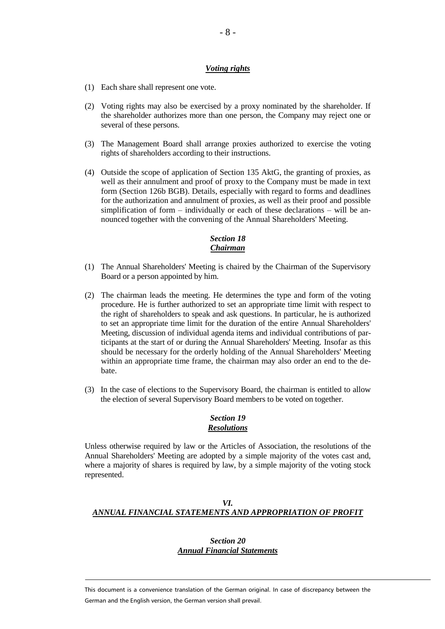#### *Voting rights*

- (1) Each share shall represent one vote.
- (2) Voting rights may also be exercised by a proxy nominated by the shareholder. If the shareholder authorizes more than one person, the Company may reject one or several of these persons.
- (3) The Management Board shall arrange proxies authorized to exercise the voting rights of shareholders according to their instructions.
- (4) Outside the scope of application of Section 135 AktG, the granting of proxies, as well as their annulment and proof of proxy to the Company must be made in text form (Section 126b BGB). Details, especially with regard to forms and deadlines for the authorization and annulment of proxies, as well as their proof and possible simplification of form – individually or each of these declarations – will be announced together with the convening of the Annual Shareholders' Meeting.

# *Section 18 Chairman*

- (1) The Annual Shareholders' Meeting is chaired by the Chairman of the Supervisory Board or a person appointed by him.
- (2) The chairman leads the meeting. He determines the type and form of the voting procedure. He is further authorized to set an appropriate time limit with respect to the right of shareholders to speak and ask questions. In particular, he is authorized to set an appropriate time limit for the duration of the entire Annual Shareholders' Meeting, discussion of individual agenda items and individual contributions of participants at the start of or during the Annual Shareholders' Meeting. Insofar as this should be necessary for the orderly holding of the Annual Shareholders' Meeting within an appropriate time frame, the chairman may also order an end to the debate.
- (3) In the case of elections to the Supervisory Board, the chairman is entitled to allow the election of several Supervisory Board members to be voted on together.

## *Section 19 Resolutions*

Unless otherwise required by law or the Articles of Association, the resolutions of the Annual Shareholders' Meeting are adopted by a simple majority of the votes cast and, where a majority of shares is required by law, by a simple majority of the voting stock represented.

# *VI. ANNUAL FINANCIAL STATEMENTS AND APPROPRIATION OF PROFIT*

## *Section 20 Annual Financial Statements*

This document is a convenience translation of the German original. In case of discrepancy between the German and the English version, the German version shall prevail.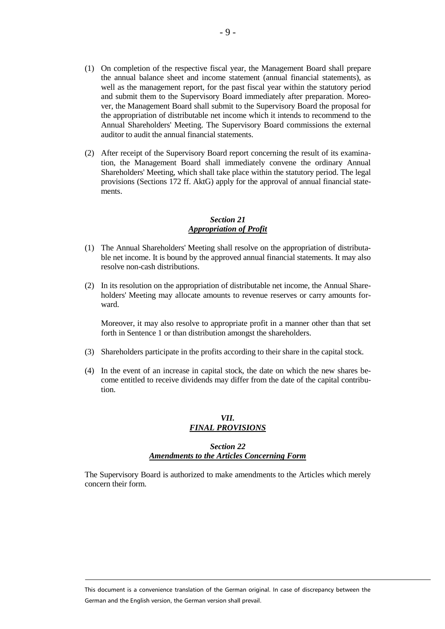- (1) On completion of the respective fiscal year, the Management Board shall prepare the annual balance sheet and income statement (annual financial statements), as well as the management report, for the past fiscal year within the statutory period and submit them to the Supervisory Board immediately after preparation. Moreover, the Management Board shall submit to the Supervisory Board the proposal for the appropriation of distributable net income which it intends to recommend to the Annual Shareholders' Meeting. The Supervisory Board commissions the external auditor to audit the annual financial statements.
- (2) After receipt of the Supervisory Board report concerning the result of its examination, the Management Board shall immediately convene the ordinary Annual Shareholders' Meeting, which shall take place within the statutory period. The legal provisions (Sections 172 ff. AktG) apply for the approval of annual financial statements.

## *Section 21 Appropriation of Profit*

- (1) The Annual Shareholders' Meeting shall resolve on the appropriation of distributable net income. It is bound by the approved annual financial statements. It may also resolve non-cash distributions.
- (2) In its resolution on the appropriation of distributable net income, the Annual Shareholders' Meeting may allocate amounts to revenue reserves or carry amounts forward.

Moreover, it may also resolve to appropriate profit in a manner other than that set forth in Sentence 1 or than distribution amongst the shareholders.

- (3) Shareholders participate in the profits according to their share in the capital stock.
- (4) In the event of an increase in capital stock, the date on which the new shares become entitled to receive dividends may differ from the date of the capital contribution.

## *VII. FINAL PROVISIONS*

# *Section 22 Amendments to the Articles Concerning Form*

The Supervisory Board is authorized to make amendments to the Articles which merely concern their form.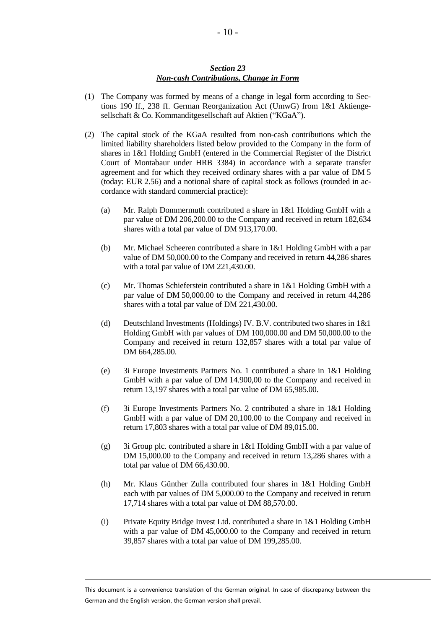## *Section 23 Non-cash Contributions, Change in Form*

- (1) The Company was formed by means of a change in legal form according to Sections 190 ff., 238 ff. German Reorganization Act (UmwG) from 1&1 Aktiengesellschaft & Co. Kommanditgesellschaft auf Aktien ("KGaA").
- (2) The capital stock of the KGaA resulted from non-cash contributions which the limited liability shareholders listed below provided to the Company in the form of shares in 1&1 Holding GmbH (entered in the Commercial Register of the District Court of Montabaur under HRB 3384) in accordance with a separate transfer agreement and for which they received ordinary shares with a par value of DM 5 (today: EUR 2.56) and a notional share of capital stock as follows (rounded in accordance with standard commercial practice):
	- (a) Mr. Ralph Dommermuth contributed a share in 1&1 Holding GmbH with a par value of DM 206,200.00 to the Company and received in return 182,634 shares with a total par value of DM 913,170.00.
	- (b) Mr. Michael Scheeren contributed a share in 1&1 Holding GmbH with a par value of DM 50,000.00 to the Company and received in return 44,286 shares with a total par value of DM 221,430.00.
	- (c) Mr. Thomas Schieferstein contributed a share in 1&1 Holding GmbH with a par value of DM 50,000.00 to the Company and received in return 44,286 shares with a total par value of DM 221,430.00.
	- (d) Deutschland Investments (Holdings) IV. B.V. contributed two shares in 1&1 Holding GmbH with par values of DM 100,000.00 and DM 50,000.00 to the Company and received in return 132,857 shares with a total par value of DM 664,285.00.
	- (e) 3i Europe Investments Partners No. 1 contributed a share in 1&1 Holding GmbH with a par value of DM 14.900,00 to the Company and received in return 13,197 shares with a total par value of DM 65,985.00.
	- (f) 3i Europe Investments Partners No. 2 contributed a share in 1&1 Holding GmbH with a par value of DM 20,100.00 to the Company and received in return 17,803 shares with a total par value of DM 89,015.00.
	- (g) 3i Group plc. contributed a share in  $1\&1$  Holding GmbH with a par value of DM 15,000.00 to the Company and received in return 13,286 shares with a total par value of DM 66,430.00.
	- (h) Mr. Klaus Günther Zulla contributed four shares in 1&1 Holding GmbH each with par values of DM 5,000.00 to the Company and received in return 17,714 shares with a total par value of DM 88,570.00.
	- (i) Private Equity Bridge Invest Ltd. contributed a share in 1&1 Holding GmbH with a par value of DM 45,000.00 to the Company and received in return 39,857 shares with a total par value of DM 199,285.00.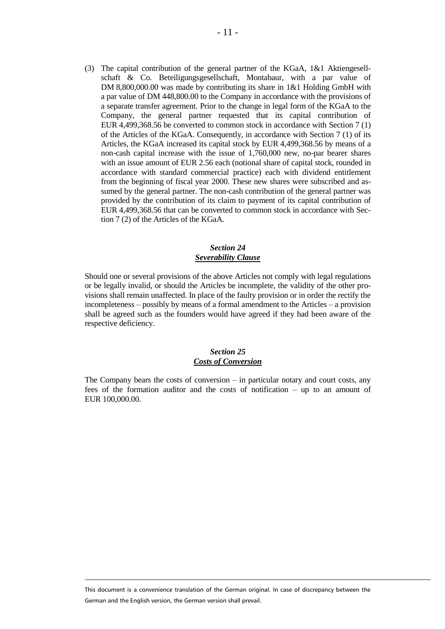(3) The capital contribution of the general partner of the KGaA, 1&1 Aktiengesellschaft & Co. Beteiligungsgesellschaft, Montabaur, with a par value of DM 8,800,000.00 was made by contributing its share in 1&1 Holding GmbH with a par value of DM 448,800.00 to the Company in accordance with the provisions of a separate transfer agreement. Prior to the change in legal form of the KGaA to the Company, the general partner requested that its capital contribution of EUR 4,499,368.56 be converted to common stock in accordance with Section 7 (1) of the Articles of the KGaA. Consequently, in accordance with Section 7 (1) of its Articles, the KGaA increased its capital stock by EUR 4,499,368.56 by means of a non-cash capital increase with the issue of 1,760,000 new, no-par bearer shares with an issue amount of EUR 2.56 each (notional share of capital stock, rounded in accordance with standard commercial practice) each with dividend entitlement from the beginning of fiscal year 2000. These new shares were subscribed and assumed by the general partner. The non-cash contribution of the general partner was provided by the contribution of its claim to payment of its capital contribution of EUR 4,499,368.56 that can be converted to common stock in accordance with Section 7 (2) of the Articles of the KGaA.

## *Section 24 Severability Clause*

Should one or several provisions of the above Articles not comply with legal regulations or be legally invalid, or should the Articles be incomplete, the validity of the other provisions shall remain unaffected. In place of the faulty provision or in order the rectify the incompleteness – possibly by means of a formal amendment to the Articles – a provision shall be agreed such as the founders would have agreed if they had been aware of the respective deficiency.

## *Section 25 Costs of Conversion*

The Company bears the costs of conversion – in particular notary and court costs, any fees of the formation auditor and the costs of notification – up to an amount of EUR 100,000.00.

This document is a convenience translation of the German original. In case of discrepancy between the German and the English version, the German version shall prevail.